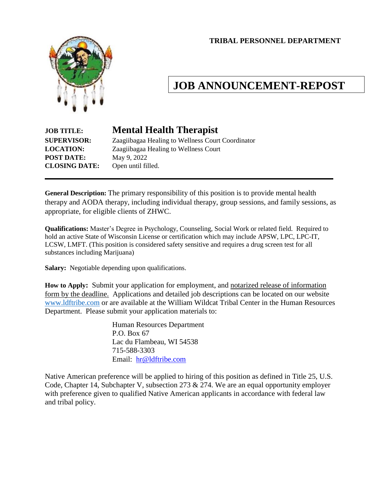**TRIBAL PERSONNEL DEPARTMENT**



# **JOB ANNOUNCEMENT-REPOST**

# **POST DATE:** May 9, 2022 **CLOSING DATE:** Open until filled.

# **JOB TITLE: Mental Health Therapist**

**SUPERVISOR:** Zaagiibagaa Healing to Wellness Court Coordinator **LOCATION:** Zaagiibagaa Healing to Wellness Court

**General Description:** The primary responsibility of this position is to provide mental health therapy and AODA therapy, including individual therapy, group sessions, and family sessions, as appropriate, for eligible clients of ZHWC.

**Qualifications:** Master's Degree in Psychology, Counseling, Social Work or related field. Required to hold an active State of Wisconsin License or certification which may include APSW, LPC, LPC-IT, LCSW, LMFT. (This position is considered safety sensitive and requires a drug screen test for all substances including Marijuana)

**Salary:** Negotiable depending upon qualifications.

**How to Apply:** Submit your application for employment, and notarized release of information form by the deadline. Applications and detailed job descriptions can be located on our website [www.ldftribe.com](http://www.ldftribe.com/) or are available at the William Wildcat Tribal Center in the Human Resources Department. Please submit your application materials to:

> Human Resources Department P.O. Box 67 Lac du Flambeau, WI 54538 715-588-3303 Email: [hr@ldftribe.com](mailto:hr@ldftribe.com)

Native American preference will be applied to hiring of this position as defined in Title 25, U.S. Code, Chapter 14, Subchapter V, subsection 273 & 274. We are an equal opportunity employer with preference given to qualified Native American applicants in accordance with federal law and tribal policy.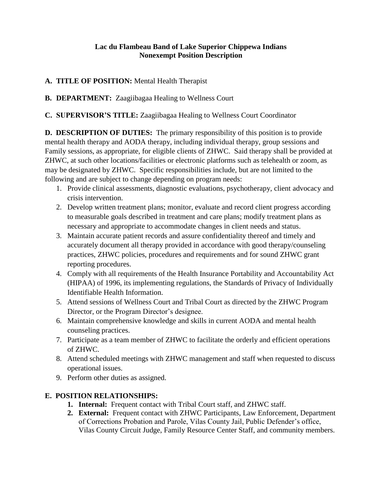#### **Lac du Flambeau Band of Lake Superior Chippewa Indians Nonexempt Position Description**

#### **A. TITLE OF POSITION:** Mental Health Therapist

## **B. DEPARTMENT:** Zaagiibagaa Healing to Wellness Court

## **C. SUPERVISOR'S TITLE:** Zaagiibagaa Healing to Wellness Court Coordinator

**D. DESCRIPTION OF DUTIES:** The primary responsibility of this position is to provide mental health therapy and AODA therapy, including individual therapy, group sessions and Family sessions, as appropriate, for eligible clients of ZHWC. Said therapy shall be provided at ZHWC, at such other locations/facilities or electronic platforms such as telehealth or zoom, as may be designated by ZHWC. Specific responsibilities include, but are not limited to the following and are subject to change depending on program needs:

- 1. Provide clinical assessments, diagnostic evaluations, psychotherapy, client advocacy and crisis intervention.
- 2. Develop written treatment plans; monitor, evaluate and record client progress according to measurable goals described in treatment and care plans; modify treatment plans as necessary and appropriate to accommodate changes in client needs and status.
- 3. Maintain accurate patient records and assure confidentiality thereof and timely and accurately document all therapy provided in accordance with good therapy/counseling practices, ZHWC policies, procedures and requirements and for sound ZHWC grant reporting procedures.
- 4. Comply with all requirements of the Health Insurance Portability and Accountability Act (HIPAA) of 1996, its implementing regulations, the Standards of Privacy of Individually Identifiable Health Information.
- 5. Attend sessions of Wellness Court and Tribal Court as directed by the ZHWC Program Director, or the Program Director's designee.
- 6. Maintain comprehensive knowledge and skills in current AODA and mental health counseling practices.
- 7. Participate as a team member of ZHWC to facilitate the orderly and efficient operations of ZHWC.
- 8. Attend scheduled meetings with ZHWC management and staff when requested to discuss operational issues.
- 9. Perform other duties as assigned.

#### **E. POSITION RELATIONSHIPS:**

- **1. Internal:** Frequent contact with Tribal Court staff, and ZHWC staff.
- **2. External:** Frequent contact with ZHWC Participants, Law Enforcement, Department of Corrections Probation and Parole, Vilas County Jail, Public Defender's office, Vilas County Circuit Judge, Family Resource Center Staff, and community members.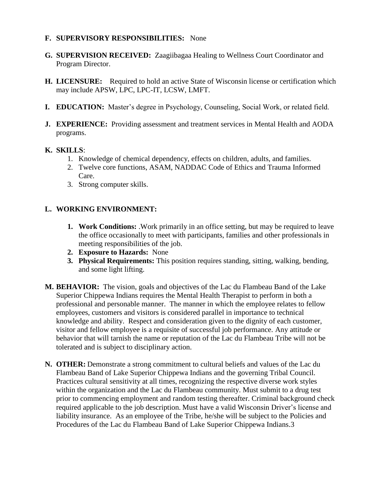#### **F. SUPERVISORY RESPONSIBILITIES:** None

- **G. SUPERVISION RECEIVED:** Zaagiibagaa Healing to Wellness Court Coordinator and Program Director.
- **H. LICENSURE:** Required to hold an active State of Wisconsin license or certification which may include APSW, LPC, LPC-IT, LCSW, LMFT.
- **I. EDUCATION:** Master's degree in Psychology, Counseling, Social Work, or related field.
- **J. EXPERIENCE:** Providing assessment and treatment services in Mental Health and AODA programs.

#### **K. SKILLS**:

- 1. Knowledge of chemical dependency, effects on children, adults, and families.
- 2. Twelve core functions, ASAM, NADDAC Code of Ethics and Trauma Informed Care.
- 3. Strong computer skills.

#### **L. WORKING ENVIRONMENT:**

- **1. Work Conditions:** .Work primarily in an office setting, but may be required to leave the office occasionally to meet with participants, families and other professionals in meeting responsibilities of the job.
- **2. Exposure to Hazards:** None
- **3. Physical Requirements:** This position requires standing, sitting, walking, bending, and some light lifting.
- **M. BEHAVIOR:** The vision, goals and objectives of the Lac du Flambeau Band of the Lake Superior Chippewa Indians requires the Mental Health Therapist to perform in both a professional and personable manner. The manner in which the employee relates to fellow employees, customers and visitors is considered parallel in importance to technical knowledge and ability. Respect and consideration given to the dignity of each customer, visitor and fellow employee is a requisite of successful job performance. Any attitude or behavior that will tarnish the name or reputation of the Lac du Flambeau Tribe will not be tolerated and is subject to disciplinary action.
- **N. OTHER:** Demonstrate a strong commitment to cultural beliefs and values of the Lac du Flambeau Band of Lake Superior Chippewa Indians and the governing Tribal Council. Practices cultural sensitivity at all times, recognizing the respective diverse work styles within the organization and the Lac du Flambeau community. Must submit to a drug test prior to commencing employment and random testing thereafter. Criminal background check required applicable to the job description. Must have a valid Wisconsin Driver's license and liability insurance. As an employee of the Tribe, he/she will be subject to the Policies and Procedures of the Lac du Flambeau Band of Lake Superior Chippewa Indians.3